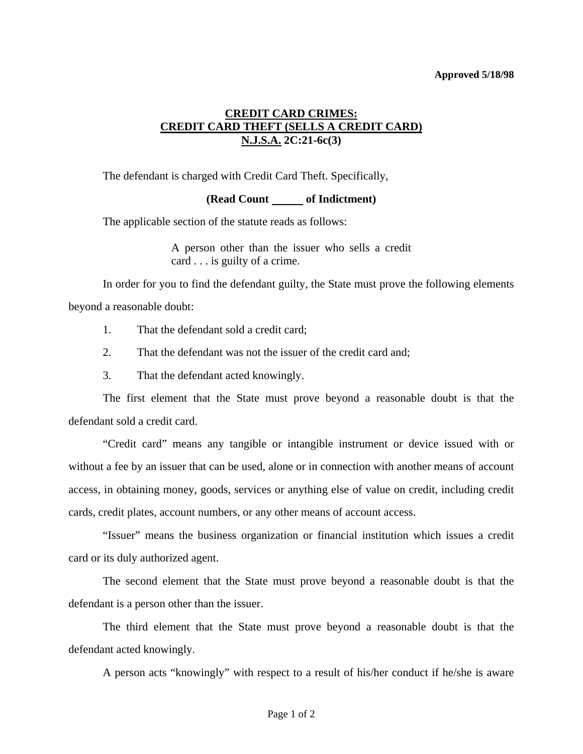## **Approved 5/18/98**

## **CREDIT CARD CRIMES: CREDIT CARD THEFT (SELLS A CREDIT CARD) N.J.S.A. 2C:21-6c(3)**

The defendant is charged with Credit Card Theft. Specifically,

## **(Read Count of Indictment)**

The applicable section of the statute reads as follows:

A person other than the issuer who sells a credit card . . . is guilty of a crime.

 In order for you to find the defendant guilty, the State must prove the following elements beyond a reasonable doubt:

- 1. That the defendant sold a credit card;
- 2. That the defendant was not the issuer of the credit card and;
- 3. That the defendant acted knowingly.

 The first element that the State must prove beyond a reasonable doubt is that the defendant sold a credit card.

 "Credit card" means any tangible or intangible instrument or device issued with or without a fee by an issuer that can be used, alone or in connection with another means of account access, in obtaining money, goods, services or anything else of value on credit, including credit cards, credit plates, account numbers, or any other means of account access.

 "Issuer" means the business organization or financial institution which issues a credit card or its duly authorized agent.

 The second element that the State must prove beyond a reasonable doubt is that the defendant is a person other than the issuer.

 The third element that the State must prove beyond a reasonable doubt is that the defendant acted knowingly.

A person acts "knowingly" with respect to a result of his/her conduct if he/she is aware